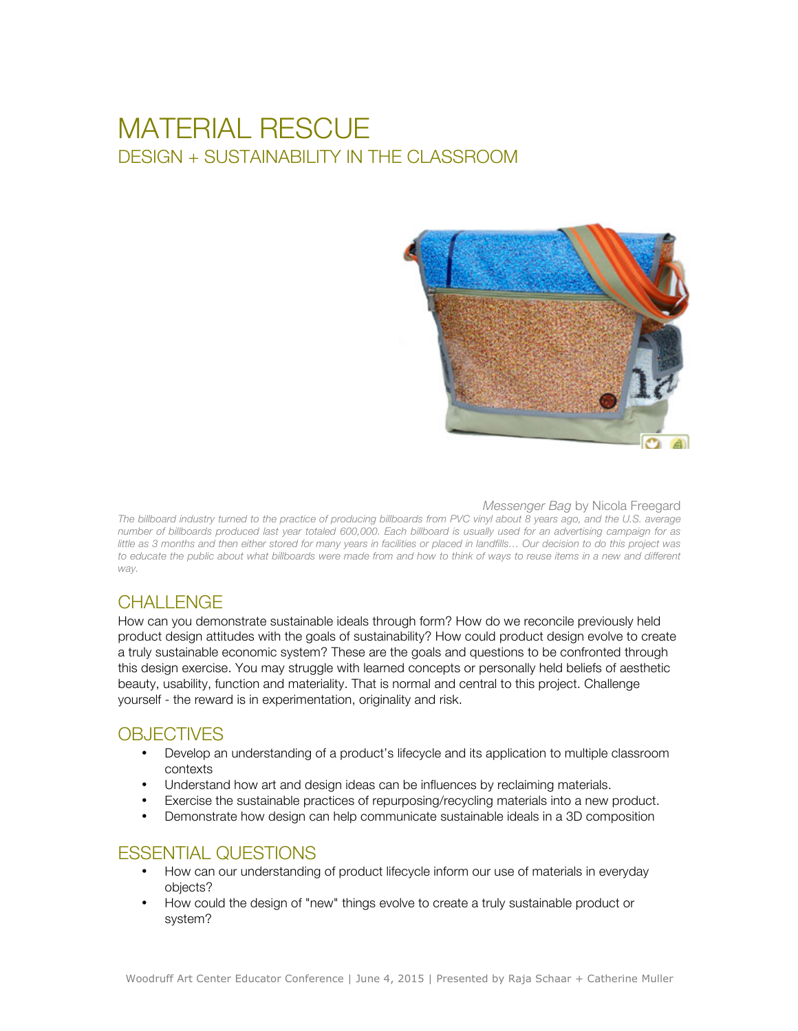# MATERIAL RESCUE DESIGN + SUSTAINABILITY IN THE CLASSROOM



#### *Messenger Bag* by Nicola Freegard

*The billboard industry turned to the practice of producing billboards from PVC vinyl about 8 years ago, and the U.S. average number of billboards produced last year totaled 600,000. Each billboard is usually used for an advertising campaign for as*  little as 3 months and then either stored for many years in facilities or placed in landfills... Our decision to do this project was to educate the public about what billboards were made from and how to think of ways to reuse items in a new and different *way.*

# CHALL FNGF

How can you demonstrate sustainable ideals through form? How do we reconcile previously held product design attitudes with the goals of sustainability? How could product design evolve to create a truly sustainable economic system? These are the goals and questions to be confronted through this design exercise. You may struggle with learned concepts or personally held beliefs of aesthetic beauty, usability, function and materiality. That is normal and central to this project. Challenge yourself - the reward is in experimentation, originality and risk.

# **OBJECTIVES**

- Develop an understanding of a product's lifecycle and its application to multiple classroom contexts
- Understand how art and design ideas can be influences by reclaiming materials.
- Exercise the sustainable practices of repurposing/recycling materials into a new product.
- Demonstrate how design can help communicate sustainable ideals in a 3D composition

# ESSENTIAL QUESTIONS

- How can our understanding of product lifecycle inform our use of materials in everyday objects?
- How could the design of "new" things evolve to create a truly sustainable product or system?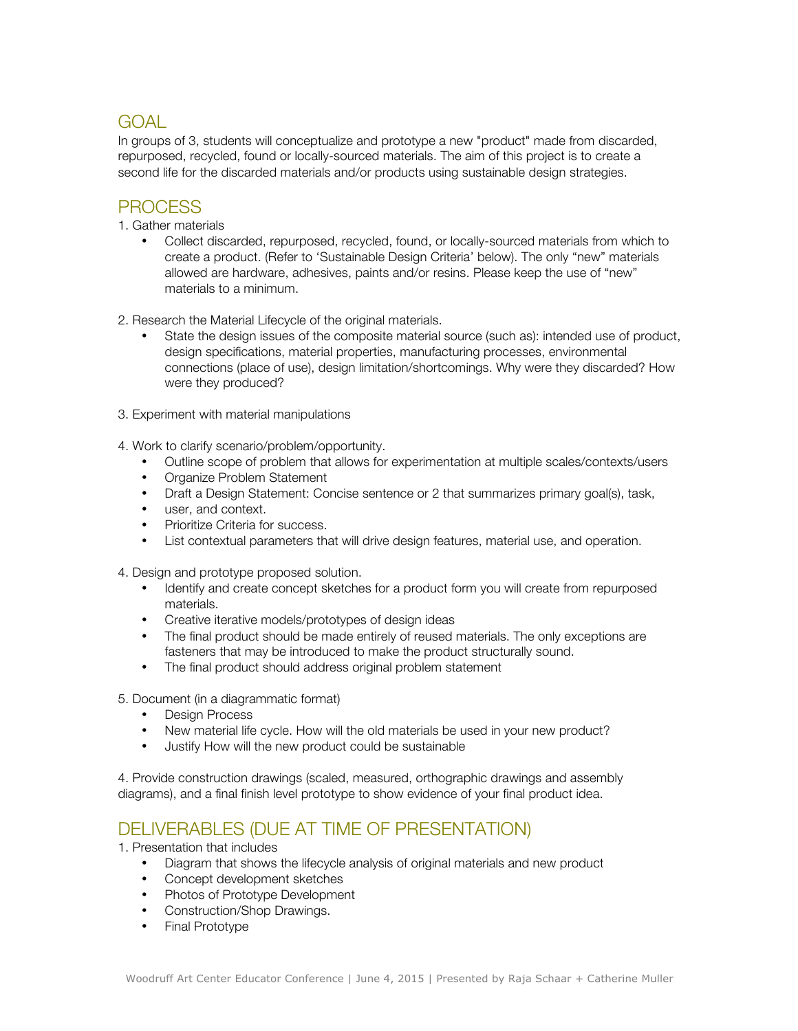# GOAL

In groups of 3, students will conceptualize and prototype a new "product" made from discarded, repurposed, recycled, found or locally-sourced materials. The aim of this project is to create a second life for the discarded materials and/or products using sustainable design strategies.

# **PROCESS**

1. Gather materials

- Collect discarded, repurposed, recycled, found, or locally-sourced materials from which to create a product. (Refer to 'Sustainable Design Criteria' below). The only "new" materials allowed are hardware, adhesives, paints and/or resins. Please keep the use of "new" materials to a minimum.
- 2. Research the Material Lifecycle of the original materials.
	- State the design issues of the composite material source (such as): intended use of product, design specifications, material properties, manufacturing processes, environmental connections (place of use), design limitation/shortcomings. Why were they discarded? How were they produced?
- 3. Experiment with material manipulations
- 4. Work to clarify scenario/problem/opportunity.
	- Outline scope of problem that allows for experimentation at multiple scales/contexts/users
	- Organize Problem Statement
	- Draft a Design Statement: Concise sentence or 2 that summarizes primary goal(s), task,
	- user, and context.
	- Prioritize Criteria for success.
	- List contextual parameters that will drive design features, material use, and operation.
- 4. Design and prototype proposed solution.
	- Identify and create concept sketches for a product form you will create from repurposed materials.
	- Creative iterative models/prototypes of design ideas
	- The final product should be made entirely of reused materials. The only exceptions are fasteners that may be introduced to make the product structurally sound.
	- The final product should address original problem statement
- 5. Document (in a diagrammatic format)
	- Design Process
	- New material life cycle. How will the old materials be used in your new product?
	- Justify How will the new product could be sustainable

4. Provide construction drawings (scaled, measured, orthographic drawings and assembly diagrams), and a final finish level prototype to show evidence of your final product idea.

# DELIVERABLES (DUE AT TIME OF PRESENTATION)

1. Presentation that includes

- Diagram that shows the lifecycle analysis of original materials and new product
- Concept development sketches
- Photos of Prototype Development
- Construction/Shop Drawings.
- Final Prototype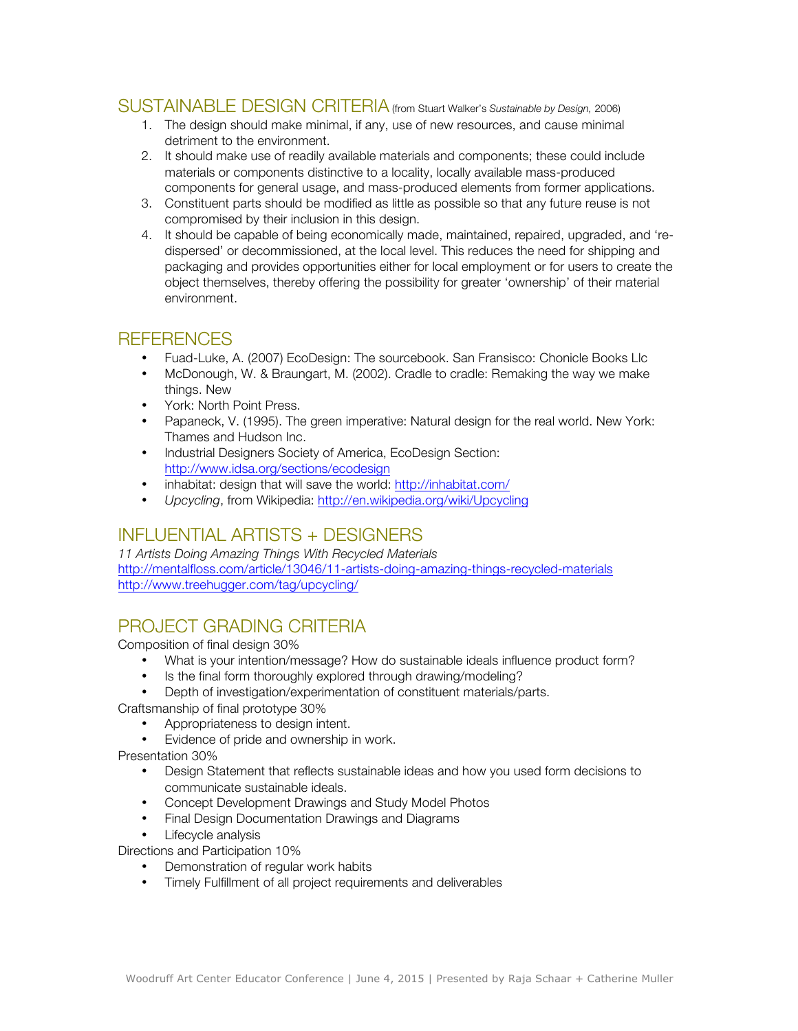### SUSTAINABLE DESIGN CRITERIA (from Stuart Walker's *Sustainable by Design,* 2006)

- 1. The design should make minimal, if any, use of new resources, and cause minimal detriment to the environment.
- 2. It should make use of readily available materials and components; these could include materials or components distinctive to a locality, locally available mass-produced components for general usage, and mass-produced elements from former applications.
- 3. Constituent parts should be modified as little as possible so that any future reuse is not compromised by their inclusion in this design.
- 4. It should be capable of being economically made, maintained, repaired, upgraded, and 'redispersed' or decommissioned, at the local level. This reduces the need for shipping and packaging and provides opportunities either for local employment or for users to create the object themselves, thereby offering the possibility for greater 'ownership' of their material environment.

### **REFERENCES**

- Fuad-Luke, A. (2007) EcoDesign: The sourcebook. San Fransisco: Chonicle Books Llc
- McDonough, W. & Braungart, M. (2002). Cradle to cradle: Remaking the way we make things. New
- York: North Point Press.
- Papaneck, V. (1995). The green imperative: Natural design for the real world. New York: Thames and Hudson Inc.
- Industrial Designers Society of America, EcoDesign Section: http://www.idsa.org/sections/ecodesign
- inhabitat: design that will save the world: http://inhabitat.com/
- *Upcycling*, from Wikipedia: http://en.wikipedia.org/wiki/Upcycling

# INFLUENTIAL ARTISTS + DESIGNERS

*11 Artists Doing Amazing Things With Recycled Materials* http://mentalfloss.com/article/13046/11-artists-doing-amazing-things-recycled-materials http://www.treehugger.com/tag/upcycling/

# PROJECT GRADING CRITERIA

Composition of final design 30%

- What is your intention/message? How do sustainable ideals influence product form?
- Is the final form thoroughly explored through drawing/modeling?
- Depth of investigation/experimentation of constituent materials/parts.
- Craftsmanship of final prototype 30%
	- Appropriateness to design intent.
	- Evidence of pride and ownership in work.

Presentation 30%

- Design Statement that reflects sustainable ideas and how you used form decisions to communicate sustainable ideals.
- Concept Development Drawings and Study Model Photos
- Final Design Documentation Drawings and Diagrams
- Lifecycle analysis

Directions and Participation 10%

- Demonstration of regular work habits
- Timely Fulfillment of all project requirements and deliverables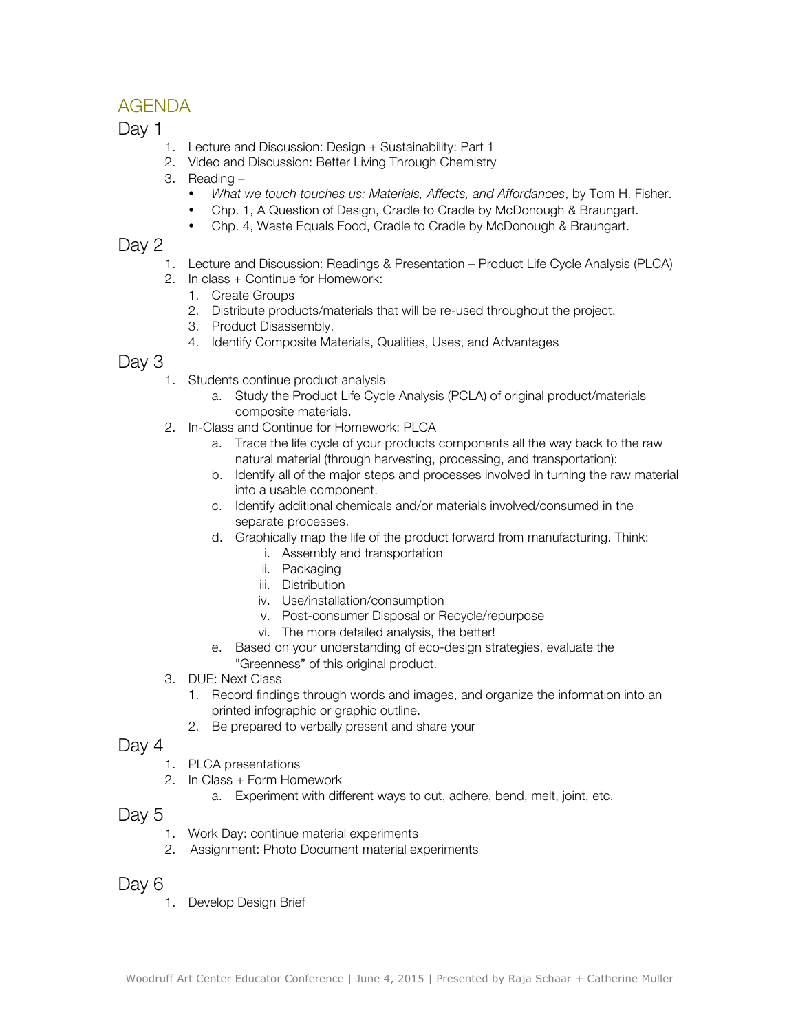# AGENDA

Day 1

- 1. Lecture and Discussion: Design + Sustainability: Part 1
- 2. Video and Discussion: Better Living Through Chemistry
- 3. Reading
	- *What we touch touches us: Materials, Affects, and Affordances*, by Tom H. Fisher.
	- Chp. 1, A Question of Design, Cradle to Cradle by McDonough & Braungart.
	- Chp. 4, Waste Equals Food, Cradle to Cradle by McDonough & Braungart.

# Day 2

- 1. Lecture and Discussion: Readings & Presentation Product Life Cycle Analysis (PLCA)
- 2. In class + Continue for Homework:
	- 1. Create Groups
	- 2. Distribute products/materials that will be re-used throughout the project.
	- 3. Product Disassembly.
	- 4. Identify Composite Materials, Qualities, Uses, and Advantages

### Day 3

- 1. Students continue product analysis
	- a. Study the Product Life Cycle Analysis (PCLA) of original product/materials composite materials.
- 2. In-Class and Continue for Homework: PLCA
	- a. Trace the life cycle of your products components all the way back to the raw natural material (through harvesting, processing, and transportation):
	- b. Identify all of the major steps and processes involved in turning the raw material into a usable component.
	- c. Identify additional chemicals and/or materials involved/consumed in the separate processes.
	- d. Graphically map the life of the product forward from manufacturing. Think:
		- i. Assembly and transportation
		- ii. Packaging
		- iii. Distribution
		- iv. Use/installation/consumption
		- v. Post-consumer Disposal or Recycle/repurpose
		- vi. The more detailed analysis, the better!
	- e. Based on your understanding of eco-design strategies, evaluate the "Greenness" of this original product.
- 3. DUE: Next Class
	- 1. Record findings through words and images, and organize the information into an printed infographic or graphic outline.
	- 2. Be prepared to verbally present and share your

### Day 4

- 1. PLCA presentations
- 2. In Class + Form Homework
	- a. Experiment with different ways to cut, adhere, bend, melt, joint, etc.

#### Day 5

- 1. Work Day: continue material experiments
- 2. Assignment: Photo Document material experiments

### Day 6

1. Develop Design Brief